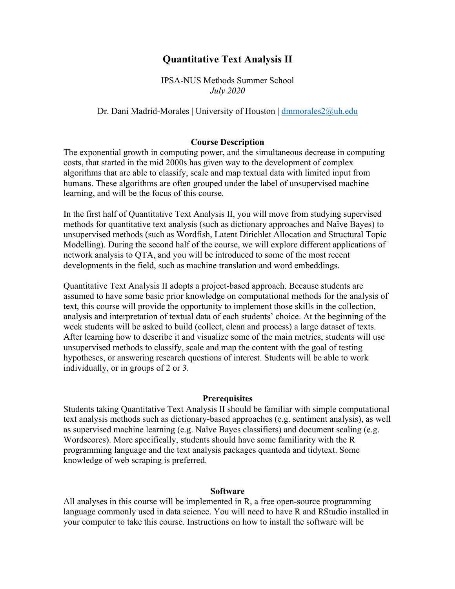# **Quantitative Text Analysis II**

IPSA-NUS Methods Summer School *July 2020*

#### Dr. Dani Madrid-Morales | University of Houston | dmmorales2@uh.edu

#### **Course Description**

The exponential growth in computing power, and the simultaneous decrease in computing costs, that started in the mid 2000s has given way to the development of complex algorithms that are able to classify, scale and map textual data with limited input from humans. These algorithms are often grouped under the label of unsupervised machine learning, and will be the focus of this course.

In the first half of Quantitative Text Analysis II, you will move from studying supervised methods for quantitative text analysis (such as dictionary approaches and Naïve Bayes) to unsupervised methods (such as Wordfish, Latent Dirichlet Allocation and Structural Topic Modelling). During the second half of the course, we will explore different applications of network analysis to QTA, and you will be introduced to some of the most recent developments in the field, such as machine translation and word embeddings.

Quantitative Text Analysis II adopts a project-based approach. Because students are assumed to have some basic prior knowledge on computational methods for the analysis of text, this course will provide the opportunity to implement those skills in the collection, analysis and interpretation of textual data of each students' choice. At the beginning of the week students will be asked to build (collect, clean and process) a large dataset of texts. After learning how to describe it and visualize some of the main metrics, students will use unsupervised methods to classify, scale and map the content with the goal of testing hypotheses, or answering research questions of interest. Students will be able to work individually, or in groups of 2 or 3.

#### **Prerequisites**

Students taking Quantitative Text Analysis II should be familiar with simple computational text analysis methods such as dictionary-based approaches (e.g. sentiment analysis), as well as supervised machine learning (e.g. Naïve Bayes classifiers) and document scaling (e.g. Wordscores). More specifically, students should have some familiarity with the R programming language and the text analysis packages quanteda and tidytext. Some knowledge of web scraping is preferred.

#### **Software**

All analyses in this course will be implemented in R, a free open-source programming language commonly used in data science. You will need to have R and RStudio installed in your computer to take this course. Instructions on how to install the software will be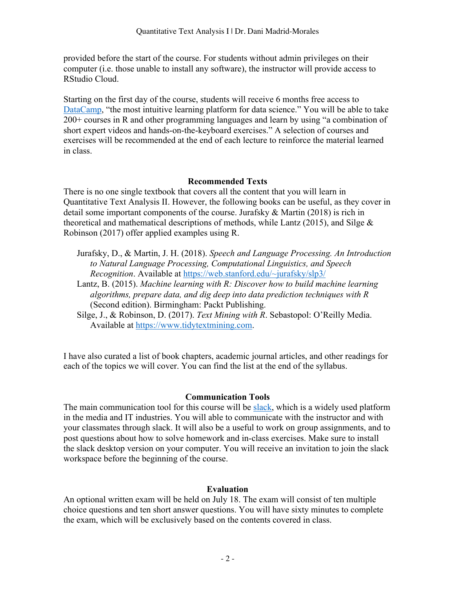provided before the start of the course. For students without admin privileges on their computer (i.e. those unable to install any software), the instructor will provide access to RStudio Cloud.

Starting on the first day of the course, students will receive 6 months free access to DataCamp, "the most intuitive learning platform for data science." You will be able to take 200+ courses in R and other programming languages and learn by using "a combination of short expert videos and hands-on-the-keyboard exercises." A selection of courses and exercises will be recommended at the end of each lecture to reinforce the material learned in class.

# **Recommended Texts**

There is no one single textbook that covers all the content that you will learn in Quantitative Text Analysis II. However, the following books can be useful, as they cover in detail some important components of the course. Jurafsky & Martin (2018) is rich in theoretical and mathematical descriptions of methods, while Lantz (2015), and Silge & Robinson (2017) offer applied examples using R.

- Jurafsky, D., & Martin, J. H. (2018). *Speech and Language Processing. An Introduction to Natural Language Processing, Computational Linguistics, and Speech Recognition*. Available at https://web.stanford.edu/~jurafsky/slp3/
- Lantz, B. (2015). *Machine learning with R: Discover how to build machine learning algorithms, prepare data, and dig deep into data prediction techniques with R* (Second edition). Birmingham: Packt Publishing.
- Silge, J., & Robinson, D. (2017). *Text Mining with R*. Sebastopol: O'Reilly Media. Available at https://www.tidytextmining.com.

I have also curated a list of book chapters, academic journal articles, and other readings for each of the topics we will cover. You can find the list at the end of the syllabus.

# **Communication Tools**

The main communication tool for this course will be slack, which is a widely used platform in the media and IT industries. You will able to communicate with the instructor and with your classmates through slack. It will also be a useful to work on group assignments, and to post questions about how to solve homework and in-class exercises. Make sure to install the slack desktop version on your computer. You will receive an invitation to join the slack workspace before the beginning of the course.

# **Evaluation**

An optional written exam will be held on July 18. The exam will consist of ten multiple choice questions and ten short answer questions. You will have sixty minutes to complete the exam, which will be exclusively based on the contents covered in class.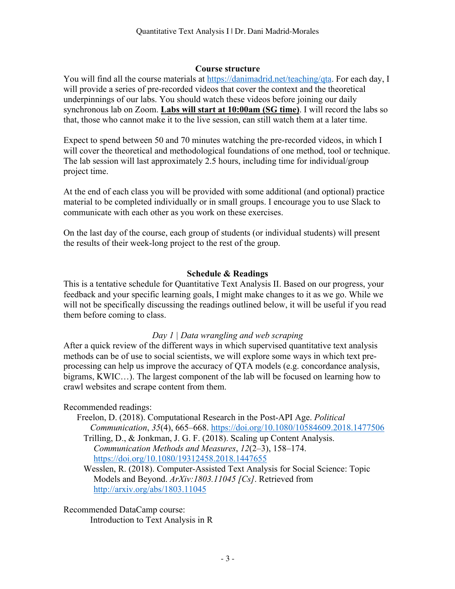#### **Course structure**

You will find all the course materials at https://danimadrid.net/teaching/qta. For each day, I will provide a series of pre-recorded videos that cover the context and the theoretical underpinnings of our labs. You should watch these videos before joining our daily synchronous lab on Zoom. **Labs will start at 10:00am (SG time)**. I will record the labs so that, those who cannot make it to the live session, can still watch them at a later time.

Expect to spend between 50 and 70 minutes watching the pre-recorded videos, in which I will cover the theoretical and methodological foundations of one method, tool or technique. The lab session will last approximately 2.5 hours, including time for individual/group project time.

At the end of each class you will be provided with some additional (and optional) practice material to be completed individually or in small groups. I encourage you to use Slack to communicate with each other as you work on these exercises.

On the last day of the course, each group of students (or individual students) will present the results of their week-long project to the rest of the group.

### **Schedule & Readings**

This is a tentative schedule for Quantitative Text Analysis II. Based on our progress, your feedback and your specific learning goals, I might make changes to it as we go. While we will not be specifically discussing the readings outlined below, it will be useful if you read them before coming to class.

# *Day 1 | Data wrangling and web scraping*

After a quick review of the different ways in which supervised quantitative text analysis methods can be of use to social scientists, we will explore some ways in which text preprocessing can help us improve the accuracy of QTA models (e.g. concordance analysis, bigrams, KWIC…). The largest component of the lab will be focused on learning how to crawl websites and scrape content from them.

Recommended readings:

Freelon, D. (2018). Computational Research in the Post-API Age. *Political Communication*, *35*(4), 665–668. https://doi.org/10.1080/10584609.2018.1477506

Trilling, D., & Jonkman, J. G. F. (2018). Scaling up Content Analysis. *Communication Methods and Measures*, *12*(2–3), 158–174. https://doi.org/10.1080/19312458.2018.1447655

Wesslen, R. (2018). Computer-Assisted Text Analysis for Social Science: Topic Models and Beyond. *ArXiv:1803.11045 [Cs]*. Retrieved from http://arxiv.org/abs/1803.11045

Recommended DataCamp course: Introduction to Text Analysis in R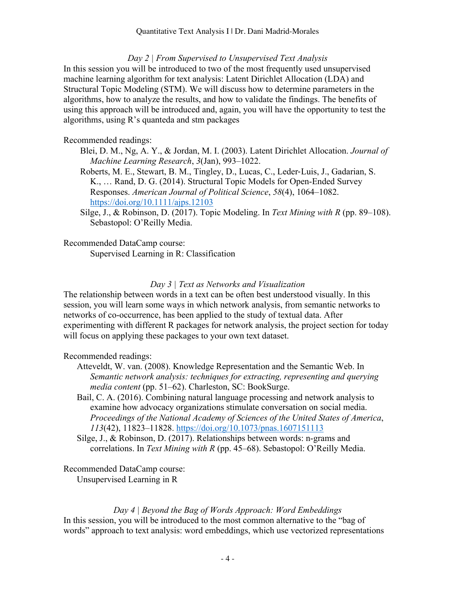### *Day 2 | From Supervised to Unsupervised Text Analysis*

In this session you will be introduced to two of the most frequently used unsupervised machine learning algorithm for text analysis: Latent Dirichlet Allocation (LDA) and Structural Topic Modeling (STM). We will discuss how to determine parameters in the algorithms, how to analyze the results, and how to validate the findings. The benefits of using this approach will be introduced and, again, you will have the opportunity to test the algorithms, using R's quanteda and stm packages

### Recommended readings:

- Blei, D. M., Ng, A. Y., & Jordan, M. I. (2003). Latent Dirichlet Allocation. *Journal of Machine Learning Research*, *3*(Jan), 993–1022.
- Roberts, M. E., Stewart, B. M., Tingley, D., Lucas, C., Leder-Luis, J., Gadarian, S. K., … Rand, D. G. (2014). Structural Topic Models for Open-Ended Survey Responses. *American Journal of Political Science*, *58*(4), 1064–1082. https://doi.org/10.1111/ajps.12103
- Silge, J., & Robinson, D. (2017). Topic Modeling. In *Text Mining with R* (pp. 89–108). Sebastopol: O'Reilly Media.

Recommended DataCamp course:

Supervised Learning in R: Classification

# *Day 3 | Text as Networks and Visualization*

The relationship between words in a text can be often best understood visually. In this session, you will learn some ways in which network analysis, from semantic networks to networks of co-occurrence, has been applied to the study of textual data. After experimenting with different R packages for network analysis, the project section for today will focus on applying these packages to your own text dataset.

# Recommended readings:

- Atteveldt, W. van. (2008). Knowledge Representation and the Semantic Web. In *Semantic network analysis: techniques for extracting, representing and querying media content* (pp. 51–62). Charleston, SC: BookSurge.
- Bail, C. A. (2016). Combining natural language processing and network analysis to examine how advocacy organizations stimulate conversation on social media. *Proceedings of the National Academy of Sciences of the United States of America*, *113*(42), 11823–11828. https://doi.org/10.1073/pnas.1607151113
- Silge, J., & Robinson, D. (2017). Relationships between words: n-grams and correlations. In *Text Mining with R* (pp. 45–68). Sebastopol: O'Reilly Media.

Recommended DataCamp course: Unsupervised Learning in R

*Day 4 | Beyond the Bag of Words Approach: Word Embeddings* In this session, you will be introduced to the most common alternative to the "bag of words" approach to text analysis: word embeddings, which use vectorized representations